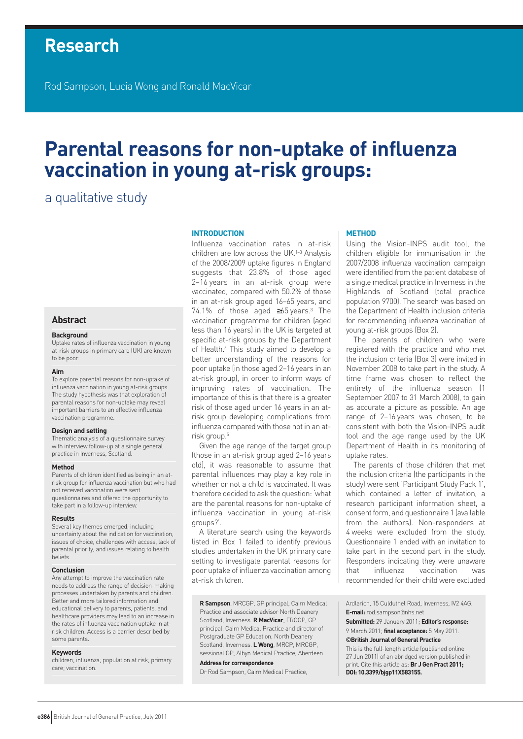# **Research**

Rod Sampson, Lucia Wong and Ronald MacVicar

# **Parental reasons for non-uptake of influenza vaccination in young at-risk groups:**

# a qualitative study

## **Abstract**

#### **Background**

Uptake rates of influenza vaccination in young at-risk groups in primary care (UK) are known to be poor.

#### **Aim**

To explore parental reasons for non-uptake of influenza vaccination in young at-risk groups. The study hypothesis was that exploration of parental reasons for non-uptake may reveal important barriers to an effective influenza vaccination programme.

## **Design and setting**

Thematic analysis of a questionnaire survey with interview follow-up at a single general practice in Inverness, Scotland.

#### **Method**

Parents of children identified as being in an atrisk group for influenza vaccination but who had not received vaccination were sent questionnaires and offered the opportunity to take part in a follow-up interview.

#### **Results**

Several key themes emerged, including uncertainty about the indication for vaccination, issues of choice, challenges with access, lack of parental priority, and issues relating to health beliefs.

#### **Conclusion**

Any attempt to improve the vaccination rate needs to address the range of decision-making processes undertaken by parents and children. Better and more tailored information and educational delivery to parents, patients, and healthcare providers may lead to an increase in the rates of influenza vaccination uptake in atrisk children. Access is a barrier described by some parents.

#### **Keywords**

children; influenza; population at risk; primary care; vaccination.

## **INTRODUCTION**

Influenza vaccination rates in at-risk children are low across the UK. 1–3 Analysis of the 2008/2009 uptake figures in England suggests that 23.8% of those aged 2–16 years in an at-risk group were vaccinated, compared with 50.2% of those in an at-risk group aged 16–65 years, and 74.1% of those aged ≥65 years. <sup>3</sup> The vaccination programme for children (aged less than 16 years) in the UK is targeted at specific at-risk groups by the Department of Health. <sup>4</sup> This study aimed to develop a better understanding of the reasons for poor uptake (in those aged 2–16 years in an at-risk group), in order to inform ways of improving rates of vaccination. The importance of this is that there is a greater risk of those aged under 16 years in an atrisk group developing complications from influenza compared with those not in an atrisk group. 5

Given the age range of the target group (those in an at-risk group aged 2–16 years old), it was reasonable to assume that parental influences may play a key role in whether or not a child is vaccinated. It was therefore decided to ask the question: 'what are the parental reasons for non-uptake of influenza vaccination in young at-risk groups?'.

A literature search using the keywords listed in Box 1 failed to identify previous studies undertaken in the UK primary care setting to investigate parental reasons for poor uptake of influenza vaccination among at-risk children.

**R Sampson**, MRCGP, GP principal, Cairn Medical Practice and associate advisor North Deanery Scotland, Inverness. **R MacVicar**, FRCGP, GP principal, Cairn Medical Practice and director of Postgraduate GP Education, North Deanery Scotland, Inverness. **L Wong**, MRCP, MRCGP, sessional GP, Albyn Medical Practice, Aberdeen.

## **Address for correspondence**

Dr Rod Sampson, Cairn Medical Practice,

## **METHOD**

Using the Vision-INPS audit tool, the children eligible for immunisation in the 2007/2008 influenza vaccination campaign were identified from the patient database of a single medical practice in Inverness in the Highlands of Scotland (total practice population 9700). The search was based on the Department of Health inclusion criteria for recommending influenza vaccination of young at-risk groups (Box 2).

The parents of children who were registered with the practice and who met the inclusion criteria (Box 3) were invited in November 2008 to take part in the study. A time frame was chosen to reflect the entirety of the influenza season (1 September 2007 to 31 March 2008), to gain as accurate a picture as possible. An age range of 2–16 years was chosen, to be consistent with both the Vision-INPS audit tool and the age range used by the UK Department of Health in its monitoring of uptake rates.

The parents of those children that met the inclusion criteria (the participants in the study) were sent 'Participant Study Pack 1', which contained a letter of invitation, a research participant information sheet, a consent form, and questionnaire 1 (available from the authors). Non-responders at 4 weeks were excluded from the study. Questionnaire 1 ended with an invitation to take part in the second part in the study. Responders indicating they were unaware that influenza vaccination was recommended for their child were excluded

Ardlarich, 15 Culduthel Road, Inverness, IV2 4AG. **E-mail:** rod.sampson@nhs.net

**Submitted:** 29 January 2011; **Editor's response:** 9 March 2011; **final acceptance:** 5 May 2011. **©British Journal ofGeneralPractice**

This is the full-length article (published online 27 Jun 2011) of an abridged version published in print. Cite this article as: **Br JGenPract 2011; DOI: 10.3399/bjgp11X583155.**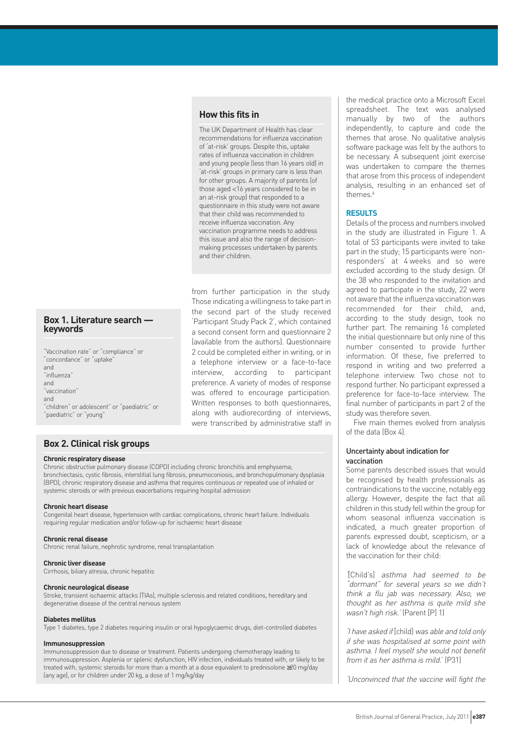# **Box 1. Literature search — keywords**

"Vaccination rate" or "compliance" or "concordance" or "uptake" and "influenza" and "vaccination" and "children" or adolescent" or "paediatric" or "paediatric" or "young"

## **How this fits in**

The UK Department of Health has clear recommendations for influenza vaccination of 'at-risk' groups. Despite this, uptake rates of influenza vaccination in children and young people (less than 16 years old) in 'at-risk' groups in primary care is less than for other groups. A majority of parents (of those aged <16 years considered to be in an at-risk group) that responded to a questionnaire in this study were not aware that their child was recommended to receive influenza vaccination. Any vaccination programme needs to address this issue and also the range of decisionmaking processes undertaken by parents and their children.

from further participation in the study. Those indicating a willingness to take part in the second part of the study received 'Participant Study Pack 2', which contained a second consent form and questionnaire 2 (available from the authors). Questionnaire 2 could be completed either in writing, or in a telephone interview or a face-to-face interview, according to participant preference. A variety of modes of response was offered to encourage participation. Written responses to both questionnaires, along with audiorecording of interviews, were transcribed by administrative staff in

## **Box 2. Clinical risk groups**

#### **Chronic respiratory disease**

Chronic obstructive pulmonary disease (COPD) including chronic bronchitis and emphysema; bronchiectasis, cystic fibrosis, interstitial lung fibrosis, pneumoconiosis, and bronchopulmonary dysplasia (BPD), chronic respiratory disease and asthma that requires continuous or repeated use of inhaled or systemic steroids or with previous exacerbations requiring hospital admission

#### **Chronic heart disease**

Congenital heart disease, hypertension with cardiac complications, chronic heart failure. Individuals requiring regular medication and/or follow-up for ischaemic heart disease

#### **Chronic renal disease**

Chronic renal failure, nephrotic syndrome, renal transplantation

### **Chronic liver disease**

Cirrhosis, biliary atresia, chronic hepatitis

#### **Chronic neurological disease**

Stroke, transient ischaemic attacks (TIAs), multiple sclerosis and related conditions, hereditary and degenerative disease of the central nervous system

#### **Diabetes mellitus**

Type 1 diabetes, type 2 diabetes requiring insulin or oral hypoglycaemic drugs, diet-controlled diabetes

## **Immunosuppression**

Immunosuppression due to disease or treatment. Patients undergoing chemotherapy leading to immunosuppression. Asplenia or splenic dysfunction, HIV infection, individuals treated with, or likely to be treated with, systemic steroids for more than a month at a dose equivalent to prednisolone ≥20 mg/day (any age), or for children under 20 kg, a dose of 1 mg/kg/day

the medical practice onto a Microsoft Excel spreadsheet. The text was analysed manually by two of the authors independently, to capture and code the themes that arose. No qualitative analysis software package was felt by the authors to be necessary. A subsequent joint exercise was undertaken to compare the themes that arose from this process of independent analysis, resulting in an enhanced set of themes. 6

## **RESULTS**

Details of the process and numbers involved in the study are illustrated in Figure 1. A total of 53 participants were invited to take part in the study; 15 participants were 'nonresponders' at 4 weeks and so were excluded according to the study design. Of the 38 who responded to the invitation and agreed to participate in the study, 22 were not aware thatthe influenza vaccination was recommended for their child, and, according to the study design, took no further part. The remaining 16 completed the initial questionnaire but only nine of this number consented to provide further information. Of these, five preferred to respond in writing and two preferred a telephone interview. Two chose not to respond further. No participant expressed a preference for face-to-face interview. The final number of participants in part 2 of the study was therefore seven.

Five main themes evolved from analysis of the data (Box 4).

## Uncertainty about indication for vaccination

Some parents described issues that would be recognised by health professionals as contraindications to the vaccine, notably egg allergy. However, despite the fact that all children in this study fell within the group for whom seasonal influenza vaccination is indicated, a much greater proportion of parents expressed doubt, scepticism, or a lack of knowledge about the relevance of the vaccination for their child:

'[Child's] asthma had seemed to be "dormant" for several years so we didn't think <sup>a</sup> flu jab was necessary. Also, we thought as her asthma is quite mild she wasn't high risk.' (Parent [P] 1)

'I have asked if [child] was able and told only if she was hospitalised at some point with asthma. I feel myself she would not benefit from it as her asthma is mild.' (P31)

'Unconvinced that the vaccine will fight the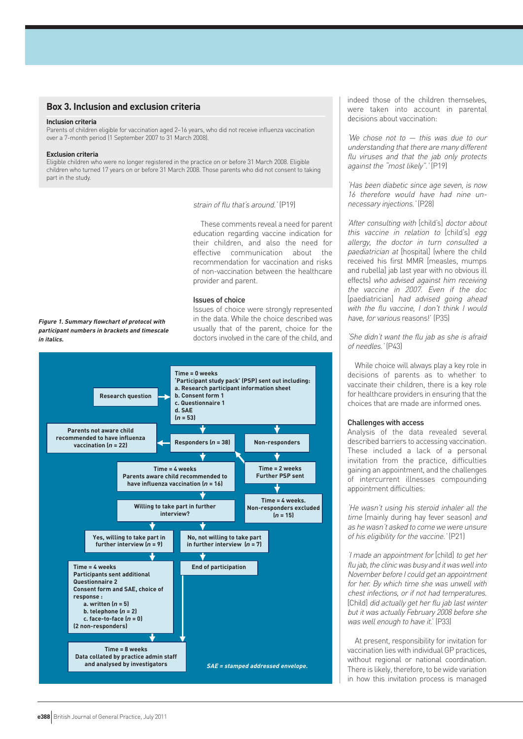## **Box 3. Inclusion and exclusion criteria**

## **Inclusion criteria**

Parents of children eligible for vaccination aged 2–16 years, who did not receive influenza vaccination over a 7-month period (1 September 2007 to 31 March 2008).

#### **Exclusion criteria**

Eligible children who were no longer registered in the practice on or before 31 March 2008. Eligible children who turned 17 years on or before 31 March 2008. Those parents who did not consent to taking part in the study.

strain of flu that's around.' (P19)

These comments reveal a need for parent education regarding vaccine indication for their children, and also the need for effective communication about the recommendation for vaccination and risks of non-vaccination between the healthcare provider and parent.

#### Issues of choice

Issues of choice were strongly represented in the data. While the choice described was usually that of the parent, choice for the doctors involved in the care of the child, and

**Figure 1. Summary flowchart of protocol with participant numbers in brackets and timescale in italics.**



indeed those of the children themselves, were taken into account in parental decisions about vaccination:

'We chose not to — this was due to our understanding that there are many different flu viruses and that the jab only protects against the "most likely".' (P19)

'Has been diabetic since age seven, is now 16 therefore would have had nine unnecessary injections.' (P28)

'After consulting with [child's] doctor about this vaccine in relation to [child's] egg allergy, the doctor in turn consulted <sup>a</sup> paediatrician at [hospital] (where the child received his first MMR [measles, mumps and rubella] jab last year with no obvious ill effects) who advised against him receiving the vaccine in 2007. Even if the doc [paediatrician] had advised going ahead with the flu vaccine, I don't think I would have, for various reasons!' (P35)

'She didn't want the flu jab as she is afraid of needles.' (P43)

While choice will always play a key role in decisions of parents as to whether to vaccinate their children, there is a key role for healthcare providers in ensuring that the choices that are made are informed ones.

## Challenges with access

Analysis of the data revealed several described barriers to accessing vaccination. These included a lack of a personal invitation from the practice, difficulties gaining an appointment, and the challenges of intercurrent illnesses compounding appointment difficulties:

'He wasn't using his steroid inhaler all the time (mainly during hay fever season) and as he wasn't asked to come we were unsure of his eligibility for the vaccine.' (P21)

'I made an appointment for [child] to get her flu jab, the clinic was busy and it was well into November before I could get an appointment for her. By which time she was unwell with chest infections, or if not had temperatures. [Child] did actually get her flu jab last winter but it was actually February 2008 before she was well enoug<sup>h</sup> to have it.' (P33)

At present, responsibility for invitation for vaccination lies with individual GP practices, without regional or national coordination. There is likely, therefore, to be wide variation in how this invitation process is managed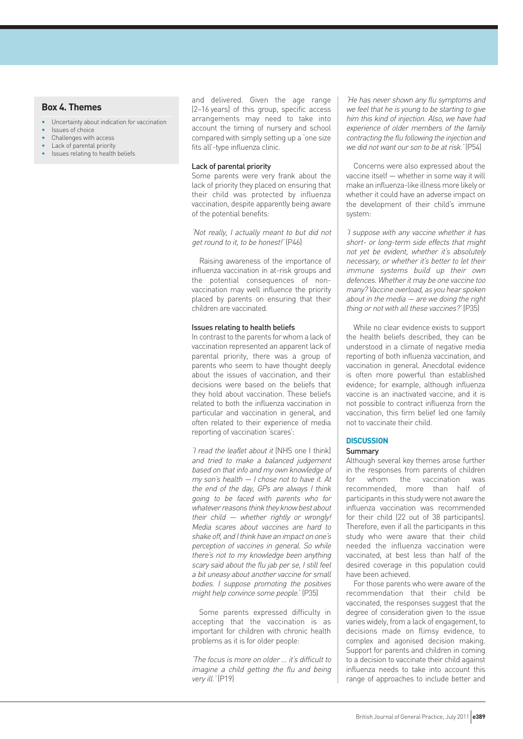## **Box 4. Themes**

- Uncertainty about indication for vaccination
- Issues of choice
- Challenges with access
- Lack of parental priority
- Issues relating to health beliefs

and delivered. Given the age range (2–16 years) of this group, specific access arrangements may need to take into account the timing of nursery and school compared with simply setting up a 'one size fits all'-type influenza clinic.

## Lack of parental priority

Some parents were very frank about the lack of priority they placed on ensuring that their child was protected by influenza vaccination, despite apparently being aware of the potential benefits:

'Not really, I actually meant to but did not get round to it, to be honest!' (P46)

Raising awareness of the importance of influenza vaccination in at-risk groups and the potential consequences of nonvaccination may well influence the priority placed by parents on ensuring that their children are vaccinated.

### Issues relating to health beliefs

In contrast to the parents for whom a lack of vaccination represented an apparent lack of parental priority, there was a group of parents who seem to have thought deeply about the issues of vaccination, and their decisions were based on the beliefs that they hold about vaccination. These beliefs related to both the influenza vaccination in particular and vaccination in general, and often related to their experience of media reporting of vaccination 'scares':

'I read the leaflet about it (NHS one I think) and tried to make <sup>a</sup> balanced judgement based on that info and my own knowledge of my son's health — I chose not to have it. At the end of the day, GPs are always I think going to be faced with parents who for whatever reasons think they know best about their child  $-$  whether rightly or wrongly! Media scares about vaccines are hard to shake off, and I think have an impact on one's perception of vaccines in general. So while there's not to my knowledge been anything scary said about the flu jab per se, I still feel <sup>a</sup> bit uneasy about another vaccine for small bodies. I suppose promoting the positives might help convince some people.' (P35)

Some parents expressed difficulty in accepting that the vaccination is as important for children with chronic health problems as it is for older people:

'The focus is more on older ... it's difficult to imagine <sup>a</sup> child getting the flu and being very ill.' (P19)

'He has never shown any flu symptoms and we feel that he is young to be starting to give him this kind of injection. Also, we have had experience of older members of the family contracting the flu following the injection and we did not want our son to be at risk.' (P54)

Concerns were also expressed about the vaccine itself — whether in some way it will make an influenza-like illness more likely or whether it could have an adverse impact on the development of their child's immune system:

'I suppose with any vaccine whether it has short- or long-term side effects that might not yet be evident, whether it's absolutely necessary, or whether it's better to let their immune systems build up their own defences. Whether it may be one vaccine too many? Vaccine overload, as you hear spoken about in the media  $-$  are we doing the right thing or not with all these vaccines?' (P35)

While no clear evidence exists to support the health beliefs described, they can be understood in a climate of negative media reporting of both influenza vaccination, and vaccination in general. Anecdotal evidence is often more powerful than established evidence; for example, although influenza vaccine is an inactivated vaccine, and it is not possible to contract influenza from the vaccination, this firm belief led one family not to vaccinate their child.

## **DISCUSSION**

## Summary

Although several key themes arose further in the responses from parents of children for whom the vaccination was recommended, more than half of participants in this study were not aware the influenza vaccination was recommended for their child (22 out of 38 participants). Therefore, even if all the participants in this study who were aware that their child needed the influenza vaccination were vaccinated, at best less than half of the desired coverage in this population could have been achieved.

For those parents who were aware of the recommendation that their child be vaccinated, the responses suggest that the degree of consideration given to the issue varies widely, from a lack of engagement, to decisions made on flimsy evidence, to complex and agonised decision making. Support for parents and children in coming to a decision to vaccinate their child against influenza needs to take into account this range of approaches to include better and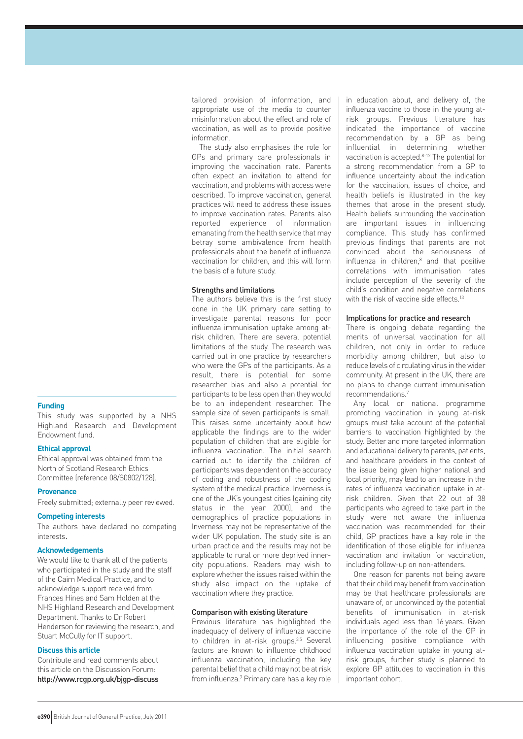## **Funding**

This study was supported by a NHS Highland Research and Development Endowment fund.

## **Ethical approval**

Ethical approval was obtained from the North of Scotland Research Ethics Committee (reference 08/S0802/128).

#### **Provenance**

Freely submitted; externally peer reviewed.

## **Competing interests**

The authors have declared no competing interests.

## **Acknowledgements**

We would like to thank all of the patients who participated in the study and the staff of the Cairn Medical Practice, and to acknowledge support received from Frances Hines and Sam Holden at the NHS Highland Research and Development Department. Thanks to Dr Robert Henderson for reviewing the research, and Stuart McCully for IT support.

## **Discuss this article**

Contribute and read comments about this article on the Discussion Forum: http://www.rcgp.org.uk/bjgp-discuss

tailored provision of information, and appropriate use of the media to counter misinformation about the effect and role of vaccination, as well as to provide positive information.

The study also emphasises the role for GPs and primary care professionals in improving the vaccination rate. Parents often expect an invitation to attend for vaccination, and problems with access were described. To improve vaccination, general practices will need to address these issues to improve vaccination rates. Parents also reported experience of information emanating from the health service that may betray some ambivalence from health professionals about the benefit of influenza vaccination for children, and this will form the basis of a future study.

## Strengths and limitations

The authors believe this is the first study done in the UK primary care setting to investigate parental reasons for poor influenza immunisation uptake among atrisk children. There are several potential limitations of the study. The research was carried out in one practice by researchers who were the GPs of the participants. As a result, there is potential for some researcher bias and also a potential for participants to be less open than they would be to an independent researcher. The sample size of seven participants is small. This raises some uncertainty about how applicable the findings are to the wider population of children that are eligible for influenza vaccination. The initial search carried out to identify the children of participants was dependent on the accuracy of coding and robustness of the coding system of the medical practice. Inverness is one of the UK's youngest cities (gaining city status in the year 2000), and the demographics of practice populations in Inverness may not be representative of the wider UK population. The study site is an urban practice and the results may not be applicable to rural or more deprived innercity populations. Readers may wish to explore whether the issues raised within the study also impact on the uptake of vaccination where they practice.

## Comparison with existing literature

Previous literature has highlighted the inadequacy of delivery of influenza vaccine to children in at-risk groups.<sup>3,5</sup> Several factors are known to influence childhood influenza vaccination, including the key parental belief that a child may not be at risk .<br>from influenza.<sup>7</sup> Primary care has a key role

in education about, and delivery of, the influenza vaccine to those in the young atrisk groups. Previous literature has indicated the importance of vaccine recommendation by a GP as being influential in determining whether vaccination is accepted. 8–12 The potential for a strong recommendation from a GP to influence uncertainty about the indication for the vaccination, issues of choice, and health beliefs is illustrated in the key themes that arose in the present study. Health beliefs surrounding the vaccination are important issues in influencing compliance. This study has confirmed previous findings that parents are not convinced about the seriousness of influenza in children, <sup>8</sup> and that positive correlations with immunisation rates include perception of the severity of the child's condition and negative correlations with the risk of vaccine side effects.<sup>13</sup>

## Implications for practice and research

There is ongoing debate regarding the merits of universal vaccination for all children, not only in order to reduce morbidity among children, but also to reduce levels of circulating virus in the wider community. At present in the UK, there are no plans to change current immunisation recommendations. 7

Any local or national programme promoting vaccination in young at-risk groups must take account of the potential barriers to vaccination highlighted by the study. Better and more targeted information and educational delivery to parents, patients, and healthcare providers in the context of the issue being given higher national and local priority, may lead to an increase in the rates of influenza vaccination uptake in atrisk children. Given that 22 out of 38 participants who agreed to take part in the study were not aware the influenza vaccination was recommended for their child, GP practices have a key role in the identification of those eligible for influenza vaccination and invitation for vaccination, including follow-up on non-attenders.

One reason for parents not being aware that their child may benefit from vaccination may be that healthcare professionals are unaware of, or unconvinced by the potential benefits of immunisation in at-risk individuals aged less than 16 years. Given the importance of the role of the GP in influencing positive compliance with influenza vaccination uptake in young atrisk groups, further study is planned to explore GP attitudes to vaccination in this important cohort.